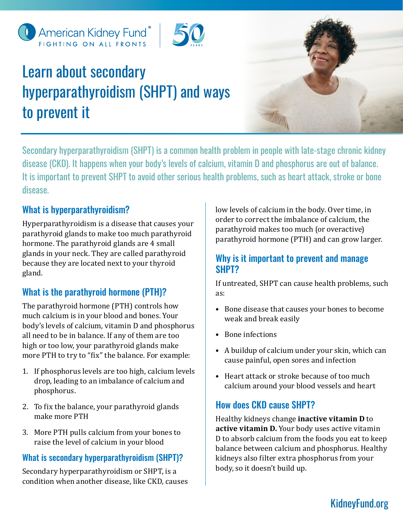



# Learn about secondary hyperparathyroidism (SHPT) and ways to prevent it



Secondary hyperparathyroidism (SHPT) is a common health problem in people with late-stage chronic kidney disease (CKD). It happens when your body's levels of calcium, vitamin D and phosphorus are out of balance. It is important to prevent SHPT to avoid other serious health problems, such as heart attack, stroke or bone disease.

# What is hyperparathyroidism?

Hyperparathyroidism is a disease that causes your parathyroid glands to make too much parathyroid hormone. The parathyroid glands are 4 small glands in your neck. They are called parathyroid because they are located next to your thyroid gland.

# What is the parathyroid hormone (PTH)?

The parathyroid hormone (PTH) controls how much calcium is in your blood and bones. Your body's levels of calcium, vitamin D and phosphorus all need to be in balance. If any of them are too high or too low, your parathyroid glands make more PTH to try to "fix" the balance. For example:

- 1. If phosphorus levels are too high, calcium levels drop, leading to an imbalance of calcium and phosphorus.
- 2. To fix the balance, your parathyroid glands make more PTH
- 3. More PTH pulls calcium from your bones to raise the level of calcium in your blood

# What is secondary hyperparathyroidism (SHPT)?

Secondary hyperparathyroidism or SHPT, is a condition when another disease, like CKD, causes low levels of calcium in the body. Over time, in order to correct the imbalance of calcium, the parathyroid makes too much (or overactive) parathyroid hormone (PTH) and can grow larger.

### Why is it important to prevent and manage SHPT?

If untreated, SHPT can cause health problems, such as:

- Bone disease that causes your bones to become weak and break easily
- Bone infections
- A buildup of calcium under your skin, which can cause painful, open sores and infection
- Heart attack or stroke because of too much calcium around your blood vessels and heart

# How does CKD cause SHPT?

Healthy kidneys change **inactive vitamin D** to **active vitamin D.** Your body uses active vitamin D to absorb calcium from the foods you eat to keep balance between calcium and phosphorus. Healthy kidneys also filter extra phosphorus from your body, so it doesn't build up.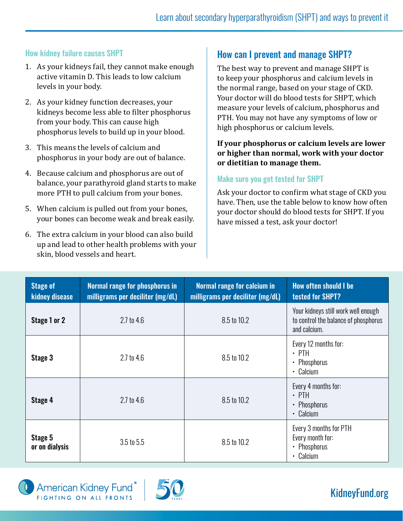#### How kidney failure causes SHPT

- 1. As your kidneys fail, they cannot make enough active vitamin D. This leads to low calcium levels in your body.
- 2. As your kidney function decreases, your kidneys become less able to filter phosphorus from your body. This can cause high phosphorus levels to build up in your blood.
- 3. This means the levels of calcium and phosphorus in your body are out of balance.
- 4. Because calcium and phosphorus are out of balance, your parathyroid gland starts to make more PTH to pull calcium from your bones.
- 5. When calcium is pulled out from your bones, your bones can become weak and break easily.
- 6. The extra calcium in your blood can also build up and lead to other health problems with your skin, blood vessels and heart.

# How can I prevent and manage SHPT?

The best way to prevent and manage SHPT is to keep your phosphorus and calcium levels in the normal range, based on your stage of CKD. Your doctor will do blood tests for SHPT, which measure your levels of calcium, phosphorus and PTH. You may not have any symptoms of low or high phosphorus or calcium levels.

#### **If your phosphorus or calcium levels are lower or higher than normal, work with your doctor or dietitian to manage them.**

#### Make sure you get tested for SHPT

Ask your doctor to confirm what stage of CKD you have. Then, use the table below to know how often your doctor should do blood tests for SHPT. If you have missed a test, ask your doctor!

| <b>Stage of</b><br>kidney disease | Normal range for phosphorus in<br>milligrams per deciliter (mg/dL) | Normal range for calcium in<br>milligrams per deciliter (mg/dL) | <b>How often should I be</b><br><b>tested for SHPT?</b>                                     |
|-----------------------------------|--------------------------------------------------------------------|-----------------------------------------------------------------|---------------------------------------------------------------------------------------------|
| Stage 1 or 2                      | $2.7$ to $4.6$                                                     | 8.5 to 10.2                                                     | Your kidneys still work well enough<br>to control the balance of phosphorus<br>and calcium. |
| Stage 3                           | $2.7$ to 4.6                                                       | 8.5 to 10.2                                                     | Every 12 months for:<br>$\cdot$ PTH<br>• Phosphorus<br>• Calcium                            |
| Stage 4                           | $2.7$ to $4.6$                                                     | 8.5 to 10.2                                                     | Every 4 months for:<br>$\cdot$ PTH<br>• Phosphorus<br>• Calcium                             |
| Stage 5<br>or on dialysis         | $3.5$ to $5.5$                                                     | 8.5 to 10.2                                                     | Every 3 months for PTH<br>Every month for:<br>• Phosphorus<br>• Calcium                     |